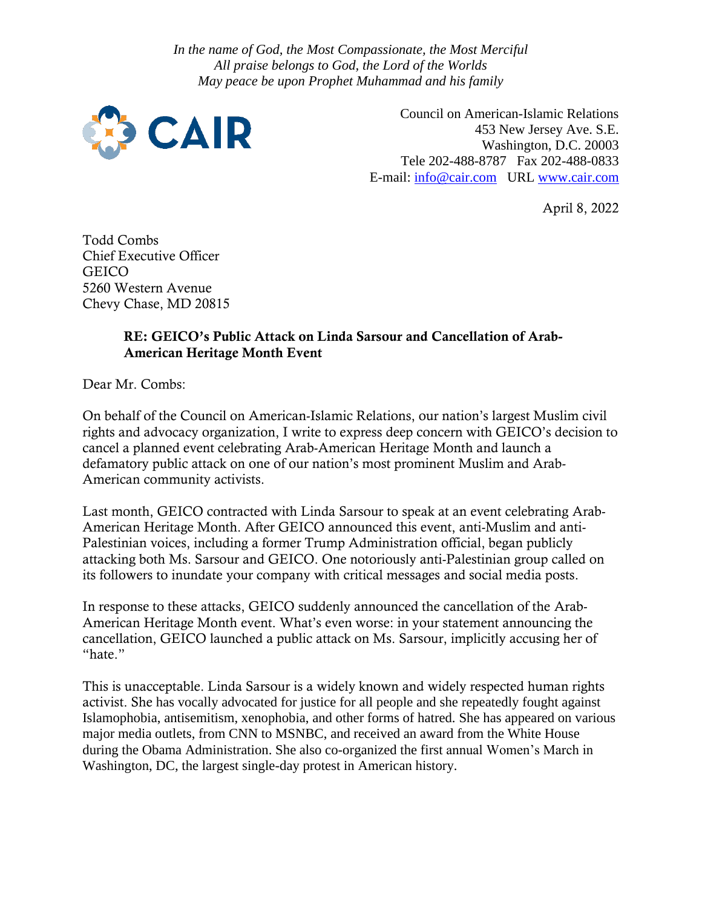*In the name of God, the Most Compassionate, the Most Merciful All praise belongs to God, the Lord of the Worlds May peace be upon Prophet Muhammad and his family*



 Council on American-Islamic Relations 453 New Jersey Ave. S.E. Washington, D.C. 20003 Tele 202-488-8787 Fax 202-488-0833 E-mail: [info@cair.com](mailto:info@cair.com) URL [www.cair.com](http://www.cair.com/)

April 8, 2022

Todd Combs Chief Executive Officer GEICO 5260 Western Avenue Chevy Chase, MD 20815

## RE: GEICO's Public Attack on Linda Sarsour and Cancellation of Arab-American Heritage Month Event

Dear Mr. Combs:

On behalf of the Council on American-Islamic Relations, our nation's largest Muslim civil rights and advocacy organization, I write to express deep concern with GEICO's decision to cancel a planned event celebrating Arab-American Heritage Month and launch a defamatory public attack on one of our nation's most prominent Muslim and Arab-American community activists.

Last month, GEICO contracted with Linda Sarsour to speak at an event celebrating Arab-American Heritage Month. After GEICO announced this event, anti-Muslim and anti-Palestinian voices, including a former Trump Administration official, began publicly attacking both Ms. Sarsour and GEICO. One notoriously anti-Palestinian group called on its followers to inundate your company with critical messages and social media posts.

In response to these attacks, GEICO suddenly announced the cancellation of the Arab-American Heritage Month event. What's even worse: in your statement announcing the cancellation, GEICO launched a public attack on Ms. Sarsour, implicitly accusing her of "hate."

This is unacceptable. Linda Sarsour is a widely known and widely respected human rights activist. She has vocally advocated for justice for all people and she repeatedly fought against Islamophobia, antisemitism, xenophobia, and other forms of hatred. She has appeared on various major media outlets, from CNN to MSNBC, and received an award from the White House during the Obama Administration. She also co-organized the first annual Women's March in Washington, DC, the largest single-day protest in American history.